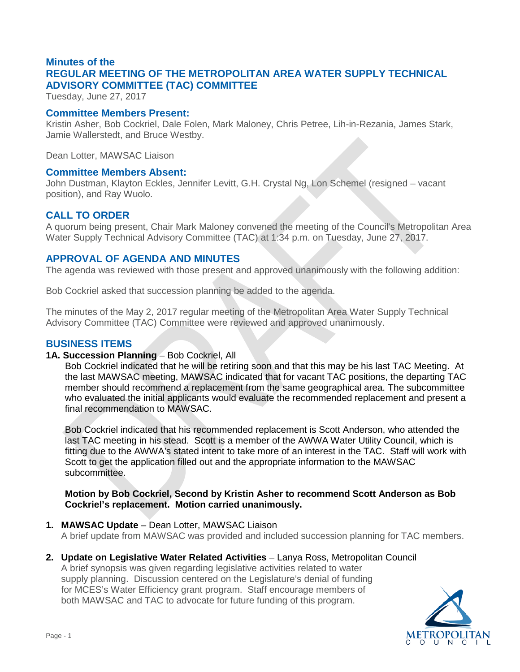## **Minutes of the REGULAR MEETING OF THE METROPOLITAN AREA WATER SUPPLY TECHNICAL ADVISORY COMMITTEE (TAC) COMMITTEE**

Tuesday, June 27, 2017

#### **Committee Members Present:**

Kristin Asher, Bob Cockriel, Dale Folen, Mark Maloney, Chris Petree, Lih-in-Rezania, James Stark, Jamie Wallerstedt, and Bruce Westby.

Dean Lotter, MAWSAC Liaison

#### **Committee Members Absent:**

John Dustman, Klayton Eckles, Jennifer Levitt, G.H. Crystal Ng, Lon Schemel (resigned – vacant position), and Ray Wuolo.

#### **CALL TO ORDER**

A quorum being present, Chair Mark Maloney convened the meeting of the Council's Metropolitan Area Water Supply Technical Advisory Committee (TAC) at 1:34 p.m. on Tuesday, June 27, 2017.

#### **APPROVAL OF AGENDA AND MINUTES**

The agenda was reviewed with those present and approved unanimously with the following addition:

Bob Cockriel asked that succession planning be added to the agenda.

The minutes of the May 2, 2017 regular meeting of the Metropolitan Area Water Supply Technical Advisory Committee (TAC) Committee were reviewed and approved unanimously.

#### **BUSINESS ITEMS**

#### **1A. Succession Planning** – Bob Cockriel, All

Bob Cockriel indicated that he will be retiring soon and that this may be his last TAC Meeting. At the last MAWSAC meeting, MAWSAC indicated that for vacant TAC positions, the departing TAC member should recommend a replacement from the same geographical area. The subcommittee who evaluated the initial applicants would evaluate the recommended replacement and present a final recommendation to MAWSAC.

Bob Cockriel indicated that his recommended replacement is Scott Anderson, who attended the last TAC meeting in his stead. Scott is a member of the AWWA Water Utility Council, which is fitting due to the AWWA's stated intent to take more of an interest in the TAC. Staff will work with Scott to get the application filled out and the appropriate information to the MAWSAC subcommittee.

#### **Motion by Bob Cockriel, Second by Kristin Asher to recommend Scott Anderson as Bob Cockriel's replacement. Motion carried unanimously.**

- **1. MAWSAC Update** Dean Lotter, MAWSAC Liaison A brief update from MAWSAC was provided and included succession planning for TAC members.
- **2. Update on Legislative Water Related Activities** Lanya Ross, Metropolitan Council

A brief synopsis was given regarding legislative activities related to water supply planning. Discussion centered on the Legislature's denial of funding for MCES's Water Efficiency grant program. Staff encourage members of both MAWSAC and TAC to advocate for future funding of this program.

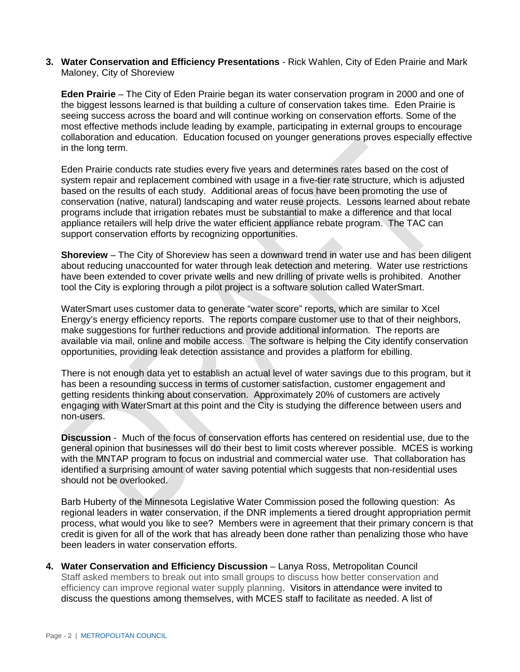**3. Water Conservation and Efficiency Presentations** - Rick Wahlen, City of Eden Prairie and Mark Maloney, City of Shoreview

**Eden Prairie** – The City of Eden Prairie began its water conservation program in 2000 and one of the biggest lessons learned is that building a culture of conservation takes time. Eden Prairie is seeing success across the board and will continue working on conservation efforts. Some of the most effective methods include leading by example, participating in external groups to encourage collaboration and education. Education focused on younger generations proves especially effective in the long term.

Eden Prairie conducts rate studies every five years and determines rates based on the cost of system repair and replacement combined with usage in a five-tier rate structure, which is adjusted based on the results of each study. Additional areas of focus have been promoting the use of conservation (native, natural) landscaping and water reuse projects. Lessons learned about rebate programs include that irrigation rebates must be substantial to make a difference and that local appliance retailers will help drive the water efficient appliance rebate program. The TAC can support conservation efforts by recognizing opportunities.

**Shoreview** – The City of Shoreview has seen a downward trend in water use and has been diligent about reducing unaccounted for water through leak detection and metering. Water use restrictions have been extended to cover private wells and new drilling of private wells is prohibited. Another tool the City is exploring through a pilot project is a software solution called WaterSmart.

WaterSmart uses customer data to generate "water score" reports, which are similar to Xcel Energy's energy efficiency reports. The reports compare customer use to that of their neighbors, make suggestions for further reductions and provide additional information. The reports are available via mail, online and mobile access. The software is helping the City identify conservation opportunities, providing leak detection assistance and provides a platform for ebilling.

There is not enough data yet to establish an actual level of water savings due to this program, but it has been a resounding success in terms of customer satisfaction, customer engagement and getting residents thinking about conservation. Approximately 20% of customers are actively engaging with WaterSmart at this point and the City is studying the difference between users and non-users.

**Discussion** - Much of the focus of conservation efforts has centered on residential use, due to the general opinion that businesses will do their best to limit costs wherever possible. MCES is working with the MNTAP program to focus on industrial and commercial water use. That collaboration has identified a surprising amount of water saving potential which suggests that non-residential uses should not be overlooked.

Barb Huberty of the Minnesota Legislative Water Commission posed the following question: As regional leaders in water conservation, if the DNR implements a tiered drought appropriation permit process, what would you like to see? Members were in agreement that their primary concern is that credit is given for all of the work that has already been done rather than penalizing those who have been leaders in water conservation efforts.

**4. Water Conservation and Efficiency Discussion** – Lanya Ross, Metropolitan Council Staff asked members to break out into small groups to discuss how better conservation and efficiency can improve regional water supply planning. Visitors in attendance were invited to discuss the questions among themselves, with MCES staff to facilitate as needed. A list of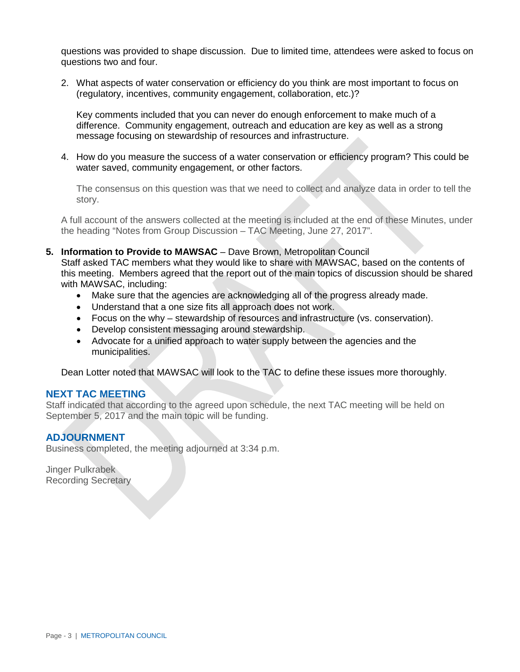questions was provided to shape discussion. Due to limited time, attendees were asked to focus on questions two and four.

2. What aspects of water conservation or efficiency do you think are most important to focus on (regulatory, incentives, community engagement, collaboration, etc.)?

Key comments included that you can never do enough enforcement to make much of a difference. Community engagement, outreach and education are key as well as a strong message focusing on stewardship of resources and infrastructure.

4. How do you measure the success of a water conservation or efficiency program? This could be water saved, community engagement, or other factors.

The consensus on this question was that we need to collect and analyze data in order to tell the story.

A full account of the answers collected at the meeting is included at the end of these Minutes, under the heading "Notes from Group Discussion – TAC Meeting, June 27, 2017".

#### **5. Information to Provide to MAWSAC** – Dave Brown, Metropolitan Council

Staff asked TAC members what they would like to share with MAWSAC, based on the contents of this meeting. Members agreed that the report out of the main topics of discussion should be shared with MAWSAC, including:

- Make sure that the agencies are acknowledging all of the progress already made.
- Understand that a one size fits all approach does not work.
- Focus on the why stewardship of resources and infrastructure (vs. conservation).
- Develop consistent messaging around stewardship.
- Advocate for a unified approach to water supply between the agencies and the municipalities.

Dean Lotter noted that MAWSAC will look to the TAC to define these issues more thoroughly.

#### **NEXT TAC MEETING**

Staff indicated that according to the agreed upon schedule, the next TAC meeting will be held on September 5, 2017 and the main topic will be funding.

#### **ADJOURNMENT**

Business completed, the meeting adjourned at 3:34 p.m.

Jinger Pulkrabek Recording Secretary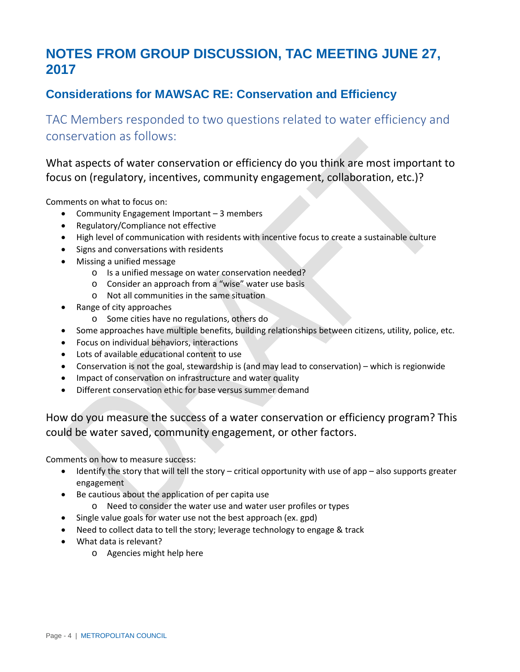# **NOTES FROM GROUP DISCUSSION, TAC MEETING JUNE 27, 2017**

## **Considerations for MAWSAC RE: Conservation and Efficiency**

TAC Members responded to two questions related to water efficiency and conservation as follows:

What aspects of water conservation or efficiency do you think are most important to focus on (regulatory, incentives, community engagement, collaboration, etc.)?

Comments on what to focus on:

- Community Engagement Important 3 members
- Regulatory/Compliance not effective
- High level of communication with residents with incentive focus to create a sustainable culture
- Signs and conversations with residents
- Missing a unified message
	- o Is a unified message on water conservation needed?
	- o Consider an approach from a "wise" water use basis
	- o Not all communities in the same situation
- Range of city approaches
	- o Some cities have no regulations, others do
- Some approaches have multiple benefits, building relationships between citizens, utility, police, etc.
- Focus on individual behaviors, interactions
- Lots of available educational content to use
- Conservation is not the goal, stewardship is (and may lead to conservation) which is regionwide
- Impact of conservation on infrastructure and water quality
- Different conservation ethic for base versus summer demand

How do you measure the success of a water conservation or efficiency program? This could be water saved, community engagement, or other factors.

Comments on how to measure success:

- Identify the story that will tell the story critical opportunity with use of app also supports greater engagement
- Be cautious about the application of per capita use
	- o Need to consider the water use and water user profiles or types
- Single value goals for water use not the best approach (ex. gpd)
- Need to collect data to tell the story; leverage technology to engage & track
- What data is relevant?
	- o Agencies might help here